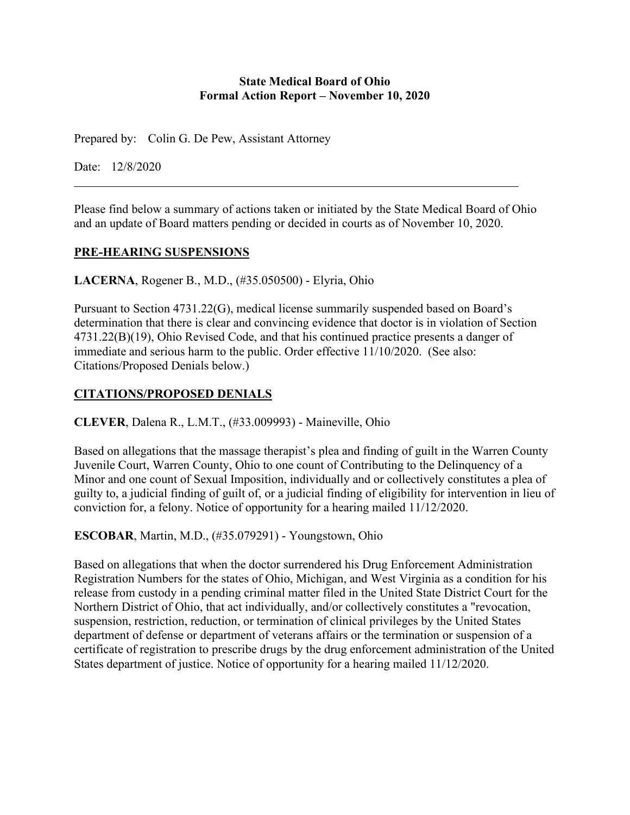#### **State Medical Board of Ohio Formal Action Report – November 10, 2020**

Prepared by: Colin G. De Pew, Assistant Attorney

Date: 12/8/2020

Please find below a summary of actions taken or initiated by the State Medical Board of Ohio and an update of Board matters pending or decided in courts as of November 10, 2020.

### **PRE-HEARING SUSPENSIONS**

**LACERNA**, Rogener B., M.D., (#35.050500) - Elyria, Ohio

Pursuant to Section 4731.22(G), medical license summarily suspended based on Board's determination that there is clear and convincing evidence that doctor is in violation of Section 4731.22(B)(19), Ohio Revised Code, and that his continued practice presents a danger of immediate and serious harm to the public. Order effective 11/10/2020. (See also: Citations/Proposed Denials below.)

# **CITATIONS/PROPOSED DENIALS**

**CLEVER**, Dalena R., L.M.T., (#33.009993) - Maineville, Ohio

Based on allegations that the massage therapist's plea and finding of guilt in the Warren County Juvenile Court, Warren County, Ohio to one count of Contributing to the Delinquency of a Minor and one count of Sexual Imposition, individually and or collectively constitutes a plea of guilty to, a judicial finding of guilt of, or a judicial finding of eligibility for intervention in lieu of conviction for, a felony. Notice of opportunity for a hearing mailed 11/12/2020.

**ESCOBAR**, Martin, M.D., (#35.079291) - Youngstown, Ohio

Based on allegations that when the doctor surrendered his Drug Enforcement Administration Registration Numbers for the states of Ohio, Michigan, and West Virginia as a condition for his release from custody in a pending criminal matter filed in the United State District Court for the Northern District of Ohio, that act individually, and/or collectively constitutes a "revocation, suspension, restriction, reduction, or termination of clinical privileges by the United States department of defense or department of veterans affairs or the termination or suspension of a certificate of registration to prescribe drugs by the drug enforcement administration of the United States department of justice. Notice of opportunity for a hearing mailed 11/12/2020.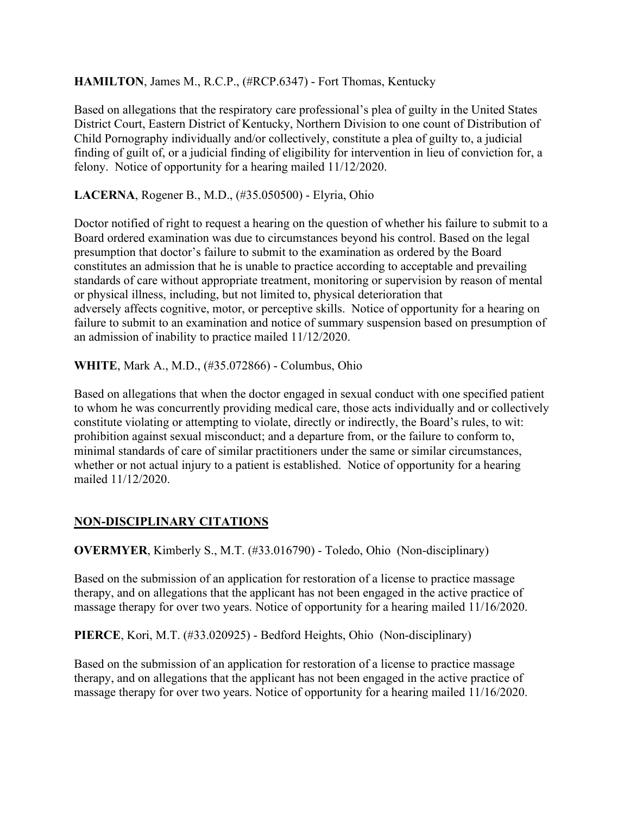## **HAMILTON**, James M., R.C.P., (#RCP.6347) - Fort Thomas, Kentucky

Based on allegations that the respiratory care professional's plea of guilty in the United States District Court, Eastern District of Kentucky, Northern Division to one count of Distribution of Child Pornography individually and/or collectively, constitute a plea of guilty to, a judicial finding of guilt of, or a judicial finding of eligibility for intervention in lieu of conviction for, a felony. Notice of opportunity for a hearing mailed 11/12/2020.

### **LACERNA**, Rogener B., M.D., (#35.050500) - Elyria, Ohio

Doctor notified of right to request a hearing on the question of whether his failure to submit to a Board ordered examination was due to circumstances beyond his control. Based on the legal presumption that doctor's failure to submit to the examination as ordered by the Board constitutes an admission that he is unable to practice according to acceptable and prevailing standards of care without appropriate treatment, monitoring or supervision by reason of mental or physical illness, including, but not limited to, physical deterioration that adversely affects cognitive, motor, or perceptive skills. Notice of opportunity for a hearing on failure to submit to an examination and notice of summary suspension based on presumption of an admission of inability to practice mailed 11/12/2020.

**WHITE**, Mark A., M.D., (#35.072866) - Columbus, Ohio

Based on allegations that when the doctor engaged in sexual conduct with one specified patient to whom he was concurrently providing medical care, those acts individually and or collectively constitute violating or attempting to violate, directly or indirectly, the Board's rules, to wit: prohibition against sexual misconduct; and a departure from, or the failure to conform to, minimal standards of care of similar practitioners under the same or similar circumstances, whether or not actual injury to a patient is established. Notice of opportunity for a hearing mailed 11/12/2020.

# **NON-DISCIPLINARY CITATIONS**

**OVERMYER**, Kimberly S., M.T. (#33.016790) - Toledo, Ohio (Non-disciplinary)

Based on the submission of an application for restoration of a license to practice massage therapy, and on allegations that the applicant has not been engaged in the active practice of massage therapy for over two years. Notice of opportunity for a hearing mailed 11/16/2020.

**PIERCE**, Kori, M.T. (#33.020925) - Bedford Heights, Ohio (Non-disciplinary)

Based on the submission of an application for restoration of a license to practice massage therapy, and on allegations that the applicant has not been engaged in the active practice of massage therapy for over two years. Notice of opportunity for a hearing mailed 11/16/2020.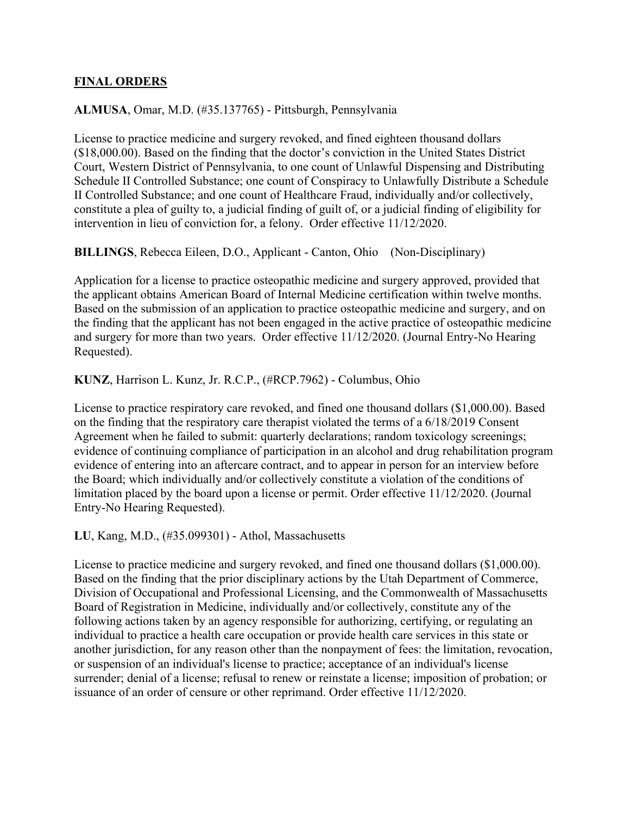#### **FINAL ORDERS**

#### **ALMUSA**, Omar, M.D. (#35.137765) - Pittsburgh, Pennsylvania

License to practice medicine and surgery revoked, and fined eighteen thousand dollars (\$18,000.00). Based on the finding that the doctor's conviction in the United States District Court, Western District of Pennsylvania, to one count of Unlawful Dispensing and Distributing Schedule II Controlled Substance; one count of Conspiracy to Unlawfully Distribute a Schedule II Controlled Substance; and one count of Healthcare Fraud, individually and/or collectively, constitute a plea of guilty to, a judicial finding of guilt of, or a judicial finding of eligibility for intervention in lieu of conviction for, a felony. Order effective 11/12/2020.

**BILLINGS**, Rebecca Eileen, D.O., Applicant - Canton, Ohio (Non-Disciplinary)

Application for a license to practice osteopathic medicine and surgery approved, provided that the applicant obtains American Board of Internal Medicine certification within twelve months. Based on the submission of an application to practice osteopathic medicine and surgery, and on the finding that the applicant has not been engaged in the active practice of osteopathic medicine and surgery for more than two years. Order effective 11/12/2020. (Journal Entry-No Hearing Requested).

**KUNZ**, Harrison L. Kunz, Jr. R.C.P., (#RCP.7962) - Columbus, Ohio

License to practice respiratory care revoked, and fined one thousand dollars (\$1,000.00). Based on the finding that the respiratory care therapist violated the terms of a 6/18/2019 Consent Agreement when he failed to submit: quarterly declarations; random toxicology screenings; evidence of continuing compliance of participation in an alcohol and drug rehabilitation program evidence of entering into an aftercare contract, and to appear in person for an interview before the Board; which individually and/or collectively constitute a violation of the conditions of limitation placed by the board upon a license or permit. Order effective 11/12/2020. (Journal Entry-No Hearing Requested).

**LU**, Kang, M.D., (#35.099301) - Athol, Massachusetts

License to practice medicine and surgery revoked, and fined one thousand dollars (\$1,000.00). Based on the finding that the prior disciplinary actions by the Utah Department of Commerce, Division of Occupational and Professional Licensing, and the Commonwealth of Massachusetts Board of Registration in Medicine, individually and/or collectively, constitute any of the following actions taken by an agency responsible for authorizing, certifying, or regulating an individual to practice a health care occupation or provide health care services in this state or another jurisdiction, for any reason other than the nonpayment of fees: the limitation, revocation, or suspension of an individual's license to practice; acceptance of an individual's license surrender; denial of a license; refusal to renew or reinstate a license; imposition of probation; or issuance of an order of censure or other reprimand. Order effective 11/12/2020.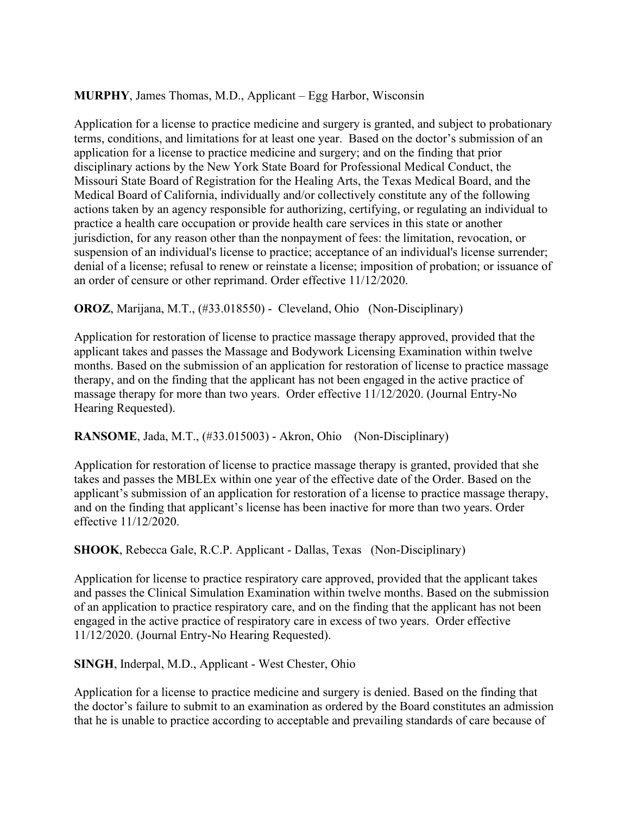### **MURPHY**, James Thomas, M.D., Applicant – Egg Harbor, Wisconsin

Application for a license to practice medicine and surgery is granted, and subject to probationary terms, conditions, and limitations for at least one year. Based on the doctor's submission of an application for a license to practice medicine and surgery; and on the finding that prior disciplinary actions by the New York State Board for Professional Medical Conduct, the Missouri State Board of Registration for the Healing Arts, the Texas Medical Board, and the Medical Board of California, individually and/or collectively constitute any of the following actions taken by an agency responsible for authorizing, certifying, or regulating an individual to practice a health care occupation or provide health care services in this state or another jurisdiction, for any reason other than the nonpayment of fees: the limitation, revocation, or suspension of an individual's license to practice; acceptance of an individual's license surrender; denial of a license; refusal to renew or reinstate a license; imposition of probation; or issuance of an order of censure or other reprimand. Order effective 11/12/2020.

**OROZ**, Marijana, M.T., (#33.018550) - Cleveland, Ohio (Non-Disciplinary)

Application for restoration of license to practice massage therapy approved, provided that the applicant takes and passes the Massage and Bodywork Licensing Examination within twelve months. Based on the submission of an application for restoration of license to practice massage therapy, and on the finding that the applicant has not been engaged in the active practice of massage therapy for more than two years. Order effective 11/12/2020. (Journal Entry-No Hearing Requested).

### **RANSOME**, Jada, M.T., (#33.015003) - Akron, Ohio (Non-Disciplinary)

Application for restoration of license to practice massage therapy is granted, provided that she takes and passes the MBLEx within one year of the effective date of the Order. Based on the applicant's submission of an application for restoration of a license to practice massage therapy, and on the finding that applicant's license has been inactive for more than two years. Order effective 11/12/2020.

**SHOOK**, Rebecca Gale, R.C.P. Applicant - Dallas, Texas (Non-Disciplinary)

Application for license to practice respiratory care approved, provided that the applicant takes and passes the Clinical Simulation Examination within twelve months. Based on the submission of an application to practice respiratory care, and on the finding that the applicant has not been engaged in the active practice of respiratory care in excess of two years. Order effective 11/12/2020. (Journal Entry-No Hearing Requested).

### **SINGH**, Inderpal, M.D., Applicant - West Chester, Ohio

Application for a license to practice medicine and surgery is denied. Based on the finding that the doctor's failure to submit to an examination as ordered by the Board constitutes an admission that he is unable to practice according to acceptable and prevailing standards of care because of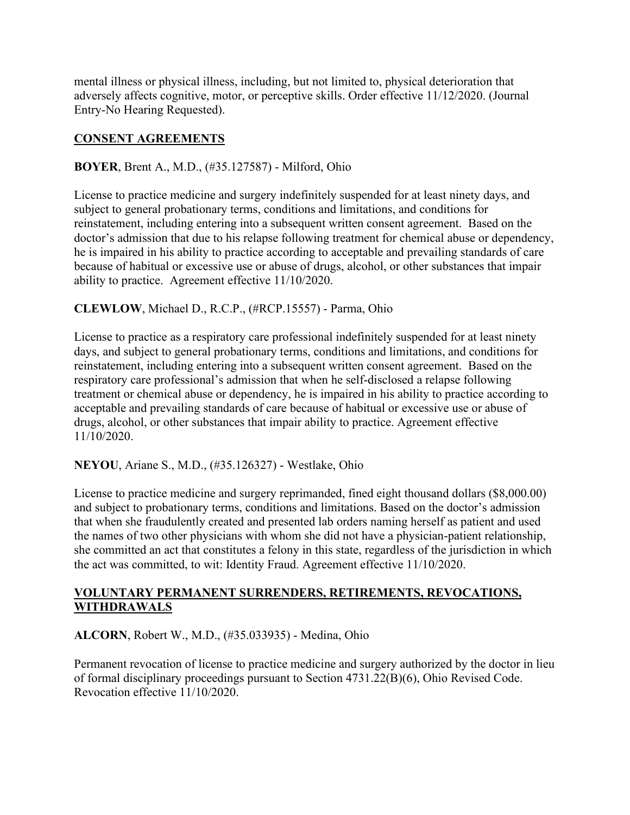mental illness or physical illness, including, but not limited to, physical deterioration that adversely affects cognitive, motor, or perceptive skills. Order effective 11/12/2020. (Journal Entry-No Hearing Requested).

## **CONSENT AGREEMENTS**

## **BOYER**, Brent A., M.D., (#35.127587) - Milford, Ohio

License to practice medicine and surgery indefinitely suspended for at least ninety days, and subject to general probationary terms, conditions and limitations, and conditions for reinstatement, including entering into a subsequent written consent agreement. Based on the doctor's admission that due to his relapse following treatment for chemical abuse or dependency, he is impaired in his ability to practice according to acceptable and prevailing standards of care because of habitual or excessive use or abuse of drugs, alcohol, or other substances that impair ability to practice. Agreement effective 11/10/2020.

## **CLEWLOW**, Michael D., R.C.P., (#RCP.15557) - Parma, Ohio

License to practice as a respiratory care professional indefinitely suspended for at least ninety days, and subject to general probationary terms, conditions and limitations, and conditions for reinstatement, including entering into a subsequent written consent agreement. Based on the respiratory care professional's admission that when he self-disclosed a relapse following treatment or chemical abuse or dependency, he is impaired in his ability to practice according to acceptable and prevailing standards of care because of habitual or excessive use or abuse of drugs, alcohol, or other substances that impair ability to practice. Agreement effective 11/10/2020.

### **NEYOU**, Ariane S., M.D., (#35.126327) - Westlake, Ohio

License to practice medicine and surgery reprimanded, fined eight thousand dollars (\$8,000.00) and subject to probationary terms, conditions and limitations. Based on the doctor's admission that when she fraudulently created and presented lab orders naming herself as patient and used the names of two other physicians with whom she did not have a physician-patient relationship, she committed an act that constitutes a felony in this state, regardless of the jurisdiction in which the act was committed, to wit: Identity Fraud. Agreement effective 11/10/2020.

### **VOLUNTARY PERMANENT SURRENDERS, RETIREMENTS, REVOCATIONS, WITHDRAWALS**

**ALCORN**, Robert W., M.D., (#35.033935) - Medina, Ohio

Permanent revocation of license to practice medicine and surgery authorized by the doctor in lieu of formal disciplinary proceedings pursuant to Section 4731.22(B)(6), Ohio Revised Code. Revocation effective 11/10/2020.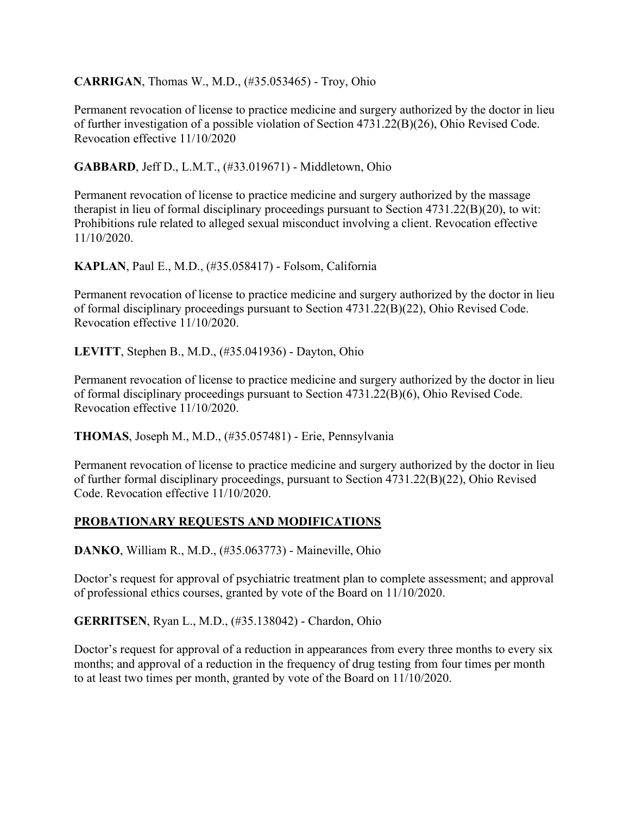**CARRIGAN**, Thomas W., M.D., (#35.053465) - Troy, Ohio

Permanent revocation of license to practice medicine and surgery authorized by the doctor in lieu of further investigation of a possible violation of Section 4731.22(B)(26), Ohio Revised Code. Revocation effective 11/10/2020

**GABBARD**, Jeff D., L.M.T., (#33.019671) - Middletown, Ohio

Permanent revocation of license to practice medicine and surgery authorized by the massage therapist in lieu of formal disciplinary proceedings pursuant to Section 4731.22(B)(20), to wit: Prohibitions rule related to alleged sexual misconduct involving a client. Revocation effective 11/10/2020.

**KAPLAN**, Paul E., M.D., (#35.058417) - Folsom, California

Permanent revocation of license to practice medicine and surgery authorized by the doctor in lieu of formal disciplinary proceedings pursuant to Section 4731.22(B)(22), Ohio Revised Code. Revocation effective 11/10/2020.

**LEVITT**, Stephen B., M.D., (#35.041936) - Dayton, Ohio

Permanent revocation of license to practice medicine and surgery authorized by the doctor in lieu of formal disciplinary proceedings pursuant to Section 4731.22(B)(6), Ohio Revised Code. Revocation effective 11/10/2020.

**THOMAS**, Joseph M., M.D., (#35.057481) - Erie, Pennsylvania

Permanent revocation of license to practice medicine and surgery authorized by the doctor in lieu of further formal disciplinary proceedings, pursuant to Section 4731.22(B)(22), Ohio Revised Code. Revocation effective 11/10/2020.

# **PROBATIONARY REQUESTS AND MODIFICATIONS**

**DANKO**, William R., M.D., (#35.063773) - Maineville, Ohio

Doctor's request for approval of psychiatric treatment plan to complete assessment; and approval of professional ethics courses, granted by vote of the Board on 11/10/2020.

**GERRITSEN**, Ryan L., M.D., (#35.138042) - Chardon, Ohio

Doctor's request for approval of a reduction in appearances from every three months to every six months; and approval of a reduction in the frequency of drug testing from four times per month to at least two times per month, granted by vote of the Board on 11/10/2020.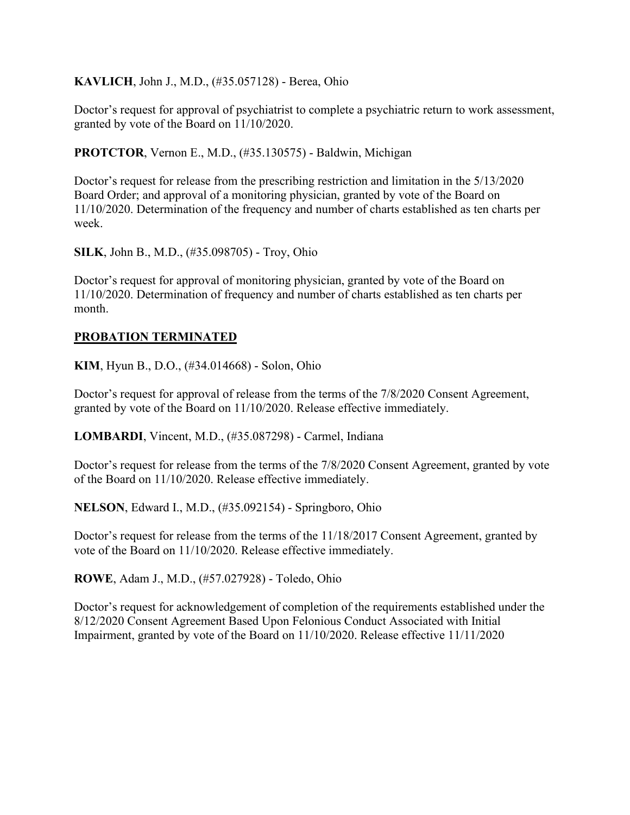**KAVLICH**, John J., M.D., (#35.057128) - Berea, Ohio

Doctor's request for approval of psychiatrist to complete a psychiatric return to work assessment, granted by vote of the Board on 11/10/2020.

**PROTCTOR**, Vernon E., M.D., (#35.130575) - Baldwin, Michigan

Doctor's request for release from the prescribing restriction and limitation in the 5/13/2020 Board Order; and approval of a monitoring physician, granted by vote of the Board on 11/10/2020. Determination of the frequency and number of charts established as ten charts per week.

**SILK**, John B., M.D., (#35.098705) - Troy, Ohio

Doctor's request for approval of monitoring physician, granted by vote of the Board on 11/10/2020. Determination of frequency and number of charts established as ten charts per month.

#### **PROBATION TERMINATED**

**KIM**, Hyun B., D.O., (#34.014668) - Solon, Ohio

Doctor's request for approval of release from the terms of the 7/8/2020 Consent Agreement, granted by vote of the Board on 11/10/2020. Release effective immediately.

**LOMBARDI**, Vincent, M.D., (#35.087298) - Carmel, Indiana

Doctor's request for release from the terms of the 7/8/2020 Consent Agreement, granted by vote of the Board on 11/10/2020. Release effective immediately.

**NELSON**, Edward I., M.D., (#35.092154) - Springboro, Ohio

Doctor's request for release from the terms of the 11/18/2017 Consent Agreement, granted by vote of the Board on 11/10/2020. Release effective immediately.

**ROWE**, Adam J., M.D., (#57.027928) - Toledo, Ohio

Doctor's request for acknowledgement of completion of the requirements established under the 8/12/2020 Consent Agreement Based Upon Felonious Conduct Associated with Initial Impairment, granted by vote of the Board on 11/10/2020. Release effective 11/11/2020